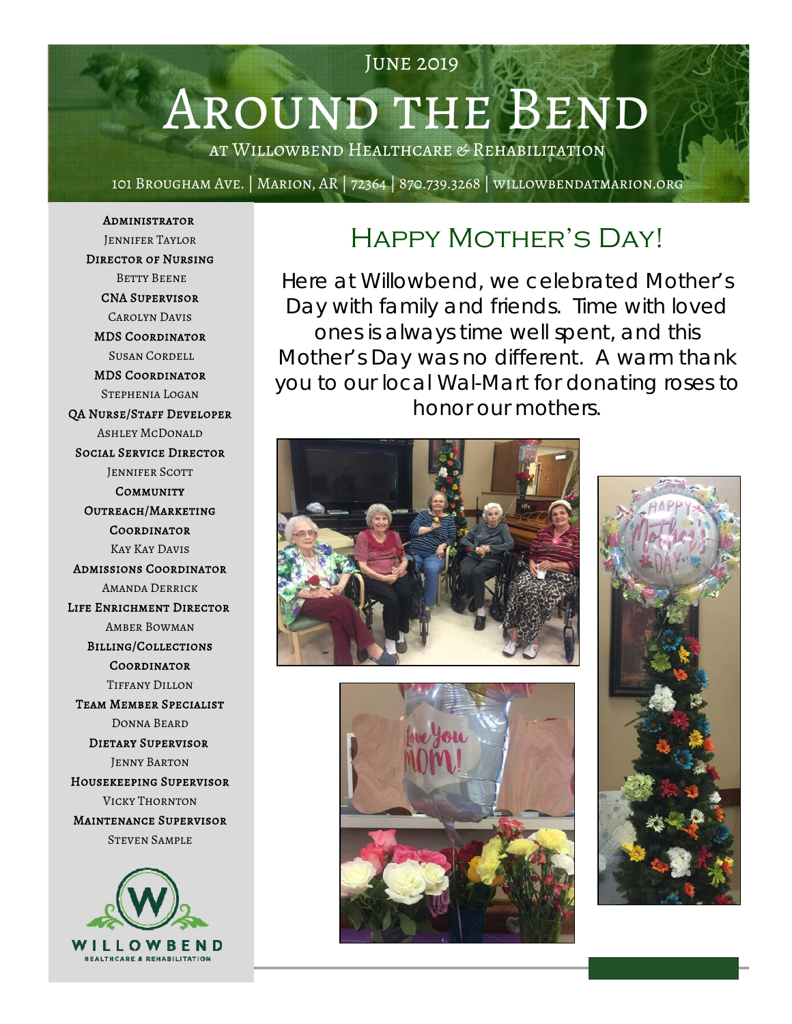# Around the Bend

June 2019

at Willowbend Healthcare & Rehabilitation

101 Brougham Ave. | Marion, AR | 72364 | 870.739.3268 | willowbendatmarion.org

Administrator Jennifer Taylor Director of Nursing Betty Beene CNA Supervisor Carolyn Davis MDS Coordinator Susan Cordell MDS Coordinator Stephenia Logan QA Nurse/Staff Developer Ashley McDonald Social Service Director **JENNIFER SCOTT COMMUNITY** Outreach/Marketing **COORDINATOR** Kay Kay Davis Admissions Coordinator Amanda Derrick Life Enrichment Director Amber Bowman Billing/Collections **COORDINATOR** Tiffany Dillon Team Member Specialist Donna Beard Dietary Supervisor Jenny Barton Housekeeping Supervisor Vicky Thornton Maintenance Supervisor Steven Sample



## Happy Mother's Day!

Here at Willowbend, we celebrated Mother's Day with family and friends. Time with loved ones is always time well spent, and this Mother's Day was no different. A warm thank you to our local Wal-Mart for donating roses to honor our mothers.





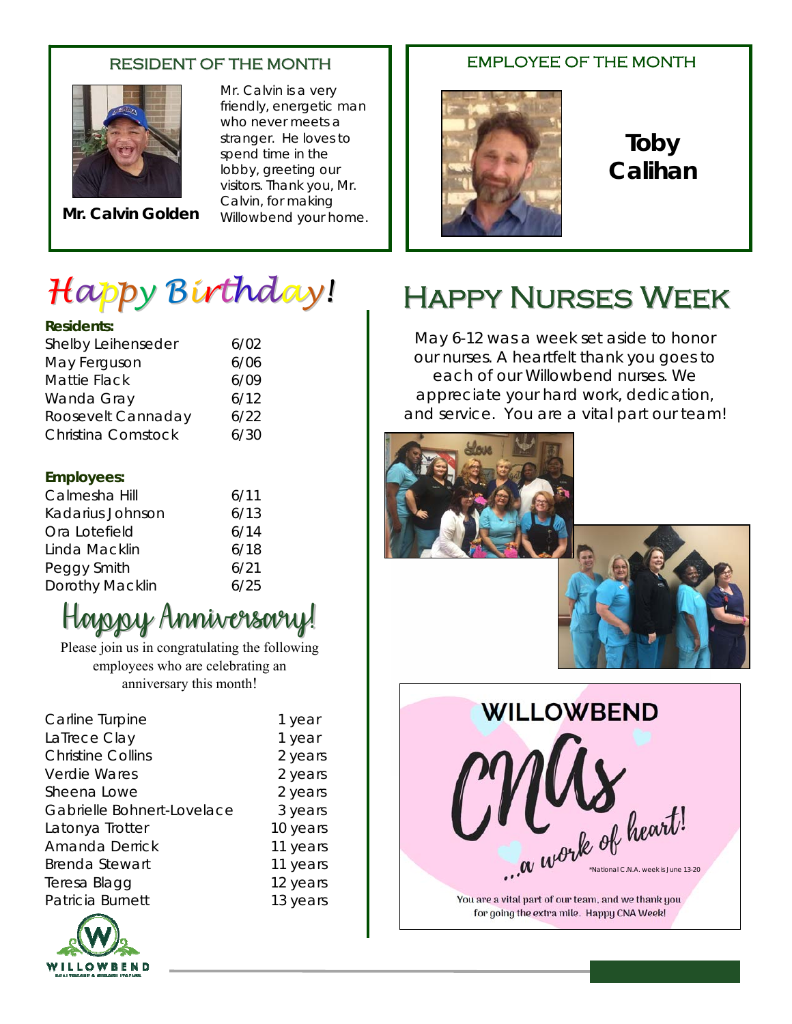### RESIDENT OF THE MONTH



**Mr. Calvin Golden**

Mr. Calvin is a very friendly, energetic man who never meets a stranger. He loves to spend time in the lobby, greeting our visitors. Thank you, Mr. Calvin, for making Willowbend your home.

# *Happy Birthday!*

### **Residents:**

| wesine ins.         |      |
|---------------------|------|
| Shelby Leihenseder  | 6/02 |
| May Ferguson        | 6/06 |
| <b>Mattie Flack</b> | 6/09 |
| Wanda Gray          | 6/12 |
| Roosevelt Cannaday  | 6/22 |
| Christina Comstock  | 6/30 |
|                     |      |

### **Employees:**

| Calmesha Hill    | 6/11 |
|------------------|------|
| Kadarius Johnson | 6/13 |
| Ora Lotefield    | 6/14 |
| Linda Macklin    | 6/18 |
| Peggy Smith      | 6/21 |
| Dorothy Macklin  | 6/25 |

## Happy Anniversary!

Please join us in congratulating the following employees who are celebrating an anniversary this month!

| Carline Turpine            | 1 year   |
|----------------------------|----------|
| LaTrece Clay               | 1 year   |
| <b>Christine Collins</b>   | 2 years  |
| <b>Verdie Wares</b>        | 2 years  |
| Sheena Lowe                | 2 years  |
| Gabrielle Bohnert-Lovelace | 3 years  |
| Latonya Trotter            | 10 years |
| <b>Amanda Derrick</b>      | 11 years |
| <b>Brenda Stewart</b>      | 11 years |
| Teresa Blagg               | 12 years |
| Patricia Burnett           | 13 years |
|                            |          |



**Toby Calihan** 

## Happy Nurses Week

EMPLOYEE OF THE MONTH

May 6-12 was a week set aside to honor our nurses. A heartfelt thank you goes to each of our Willowbend nurses. We appreciate your hard work, dedication, and service. You are a vital part our team!







for going the extra mile. Happy CNA Week!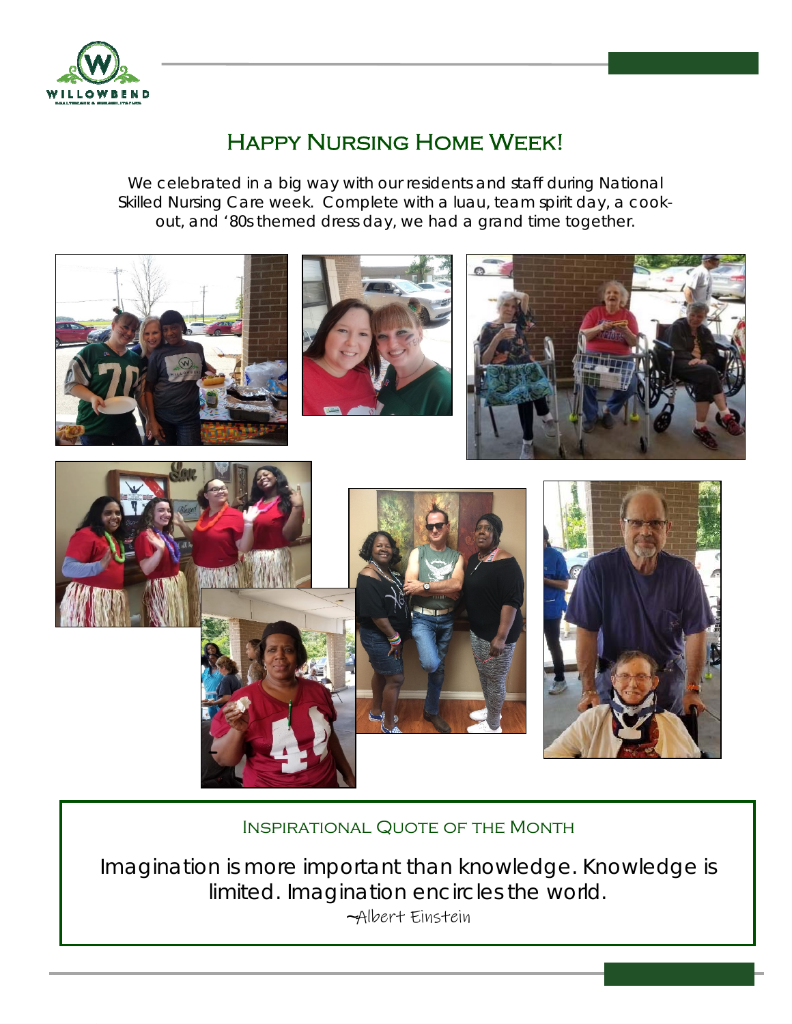

## Happy Nursing Home Week!

We celebrated in a big way with our residents and staff during National Skilled Nursing Care week. Complete with a luau, team spirit day, a cookout, and '80s themed dress day, we had a grand time together.



### Inspirational Quote of the Month

Imagination is more important than knowledge. Knowledge is limited. Imagination encircles the world. ~Albert Einstein